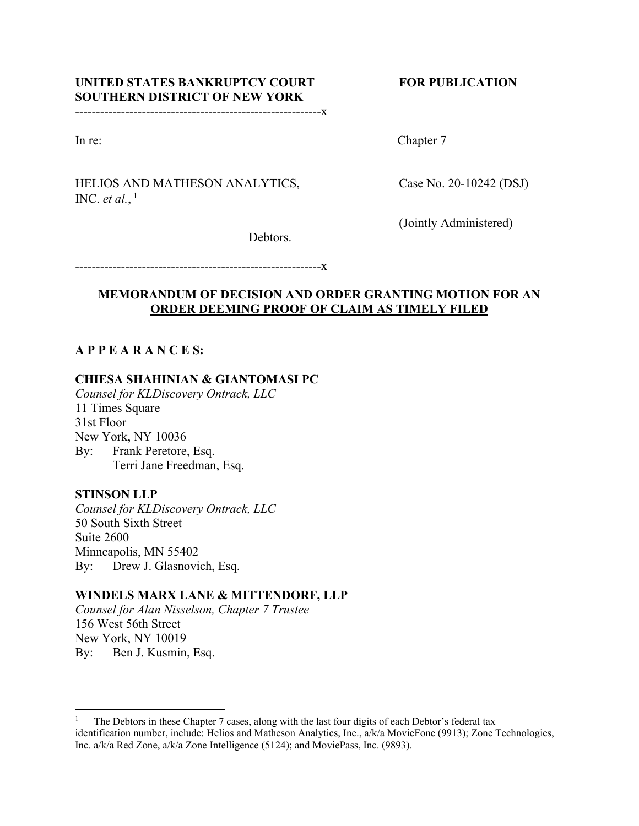# UNITED STATES BANKRUPTCY COURT FOR PUBLICATION **SOUTHERN DISTRICT OF NEW YORK**

-----------------------------------------------------------x

In re: Chapter 7

# HELIOS AND MATHESON ANALYTICS, Case No. 20-10242 (DSJ) INC. *et al.*,  $\frac{1}{2}$

(Jointly Administered)

Debtors.

-----------------------------------------------------------x

## **MEMORANDUM OF DECISION AND ORDER GRANTING MOTION FOR AN ORDER DEEMING PROOF OF CLAIM AS TIMELY FILED**

# **A P P E A R A N C E S:**

## **CHIESA SHAHINIAN & GIANTOMASI PC**

*Counsel for KLDiscovery Ontrack, LLC* 11 Times Square 31st Floor New York, NY 10036 By: Frank Peretore, Esq. Terri Jane Freedman, Esq.

## **STINSON LLP**

*Counsel for KLDiscovery Ontrack, LLC* 50 South Sixth Street Suite 2600 Minneapolis, MN 55402 By: Drew J. Glasnovich, Esq.

# **WINDELS MARX LANE & MITTENDORF, LLP**

*Counsel for Alan Nisselson, Chapter 7 Trustee* 156 West 56th Street New York, NY 10019 By: Ben J. Kusmin, Esq.

<sup>1</sup> The Debtors in these Chapter 7 cases, along with the last four digits of each Debtor's federal tax identification number, include: Helios and Matheson Analytics, Inc., a/k/a MovieFone (9913); Zone Technologies, Inc. a/k/a Red Zone, a/k/a Zone Intelligence (5124); and MoviePass, Inc. (9893).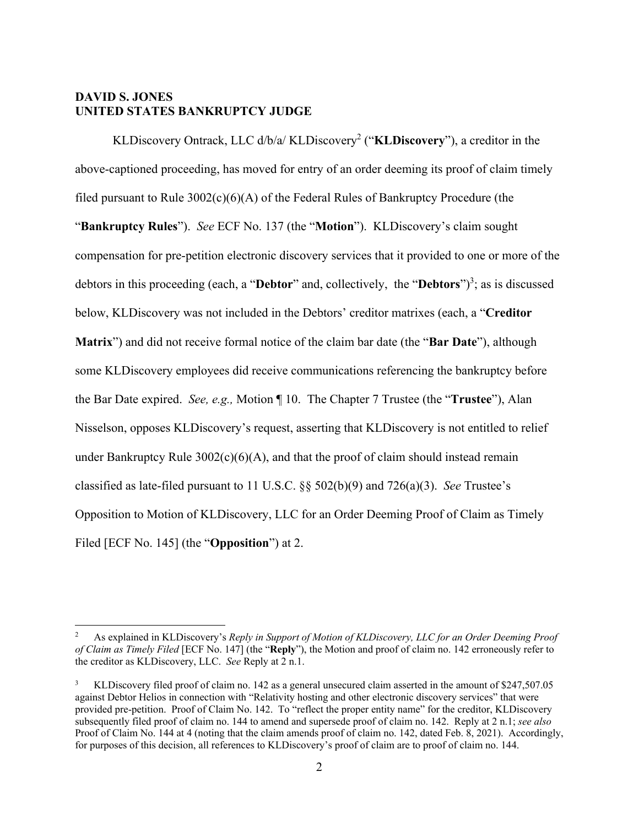### **DAVID S. JONES UNITED STATES BANKRUPTCY JUDGE**

KLDiscovery Ontrack, LLC d/b/a/ KLDiscovery2 ("**KLDiscovery**"), a creditor in the above-captioned proceeding, has moved for entry of an order deeming its proof of claim timely filed pursuant to Rule  $3002(c)(6)(A)$  of the Federal Rules of Bankruptcy Procedure (the "**Bankruptcy Rules**"). *See* ECF No. 137 (the "**Motion**"). KLDiscovery's claim sought compensation for pre-petition electronic discovery services that it provided to one or more of the debtors in this proceeding (each, a "Debtor" and, collectively, the "Debtors")<sup>3</sup>; as is discussed below, KLDiscovery was not included in the Debtors' creditor matrixes (each, a "**Creditor Matrix**") and did not receive formal notice of the claim bar date (the "**Bar Date**"), although some KLDiscovery employees did receive communications referencing the bankruptcy before the Bar Date expired. *See, e.g.,* Motion ¶ 10. The Chapter 7 Trustee (the "**Trustee**"), Alan Nisselson, opposes KLDiscovery's request, asserting that KLDiscovery is not entitled to relief under Bankruptcy Rule  $3002(c)(6)(A)$ , and that the proof of claim should instead remain classified as late-filed pursuant to 11 U.S.C. §§ 502(b)(9) and 726(a)(3). *See* Trustee's Opposition to Motion of KLDiscovery, LLC for an Order Deeming Proof of Claim as Timely Filed [ECF No. 145] (the "**Opposition**") at 2.

<sup>2</sup> As explained in KLDiscovery's *Reply in Support of Motion of KLDiscovery, LLC for an Order Deeming Proof of Claim as Timely Filed* [ECF No. 147] (the "**Reply**"), the Motion and proof of claim no. 142 erroneously refer to the creditor as KLDiscovery, LLC. *See* Reply at 2 n.1.

<sup>3</sup> KLDiscovery filed proof of claim no. 142 as a general unsecured claim asserted in the amount of \$247,507.05 against Debtor Helios in connection with "Relativity hosting and other electronic discovery services" that were provided pre-petition. Proof of Claim No. 142. To "reflect the proper entity name" for the creditor, KLDiscovery subsequently filed proof of claim no. 144 to amend and supersede proof of claim no. 142. Reply at 2 n.1; *see also* Proof of Claim No. 144 at 4 (noting that the claim amends proof of claim no. 142, dated Feb. 8, 2021). Accordingly, for purposes of this decision, all references to KLDiscovery's proof of claim are to proof of claim no. 144.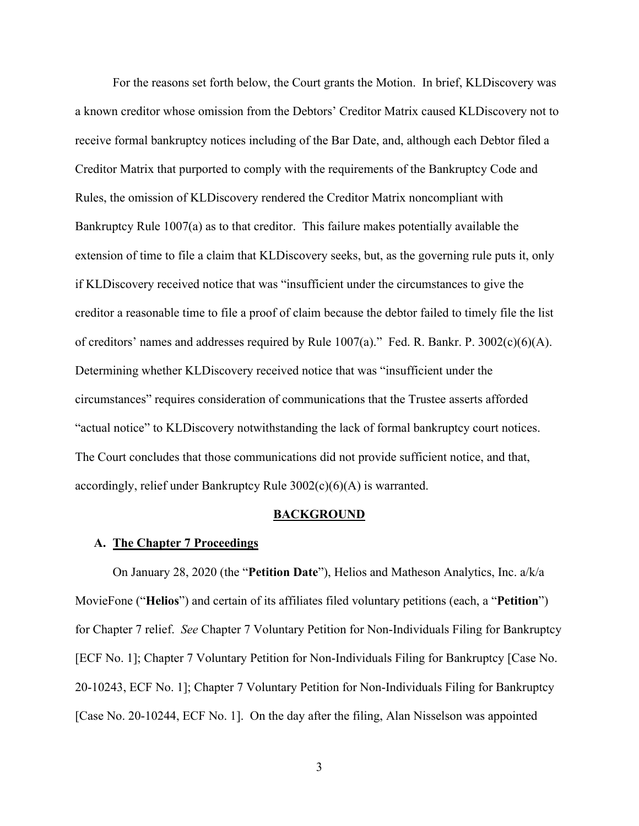For the reasons set forth below, the Court grants the Motion. In brief, KLDiscovery was a known creditor whose omission from the Debtors' Creditor Matrix caused KLDiscovery not to receive formal bankruptcy notices including of the Bar Date, and, although each Debtor filed a Creditor Matrix that purported to comply with the requirements of the Bankruptcy Code and Rules, the omission of KLDiscovery rendered the Creditor Matrix noncompliant with Bankruptcy Rule 1007(a) as to that creditor. This failure makes potentially available the extension of time to file a claim that KLDiscovery seeks, but, as the governing rule puts it, only if KLDiscovery received notice that was "insufficient under the circumstances to give the creditor a reasonable time to file a proof of claim because the debtor failed to timely file the list of creditors' names and addresses required by Rule 1007(a)." Fed. R. Bankr. P. 3002(c)(6)(A). Determining whether KLDiscovery received notice that was "insufficient under the circumstances" requires consideration of communications that the Trustee asserts afforded "actual notice" to KLDiscovery notwithstanding the lack of formal bankruptcy court notices. The Court concludes that those communications did not provide sufficient notice, and that, accordingly, relief under Bankruptcy Rule 3002(c)(6)(A) is warranted.

#### **BACKGROUND**

#### **A. The Chapter 7 Proceedings**

On January 28, 2020 (the "**Petition Date**"), Helios and Matheson Analytics, Inc. a/k/a MovieFone ("**Helios**") and certain of its affiliates filed voluntary petitions (each, a "**Petition**") for Chapter 7 relief. *See* Chapter 7 Voluntary Petition for Non-Individuals Filing for Bankruptcy [ECF No. 1]; Chapter 7 Voluntary Petition for Non-Individuals Filing for Bankruptcy [Case No. 20-10243, ECF No. 1]; Chapter 7 Voluntary Petition for Non-Individuals Filing for Bankruptcy [Case No. 20-10244, ECF No. 1]. On the day after the filing, Alan Nisselson was appointed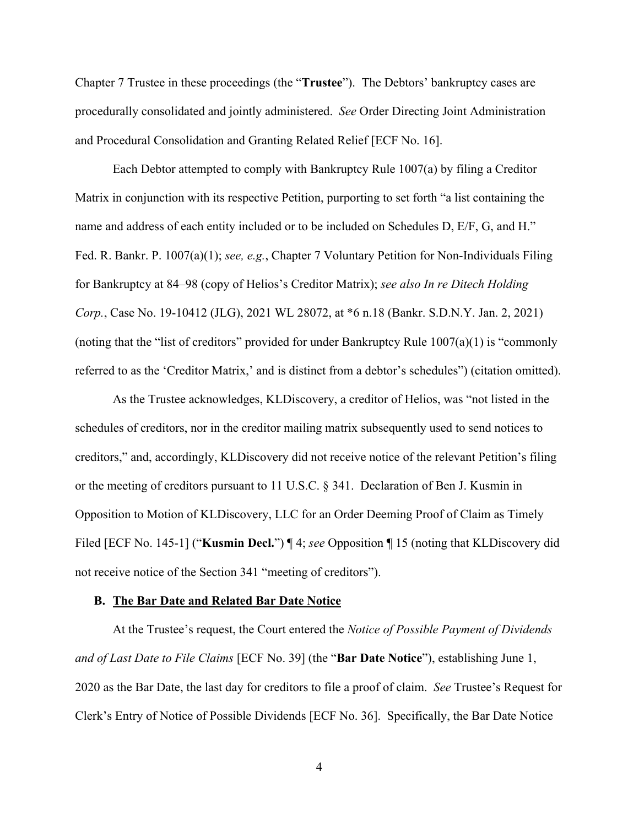Chapter 7 Trustee in these proceedings (the "**Trustee**"). The Debtors' bankruptcy cases are procedurally consolidated and jointly administered. *See* Order Directing Joint Administration and Procedural Consolidation and Granting Related Relief [ECF No. 16].

Each Debtor attempted to comply with Bankruptcy Rule 1007(a) by filing a Creditor Matrix in conjunction with its respective Petition, purporting to set forth "a list containing the name and address of each entity included or to be included on Schedules D, E/F, G, and H." Fed. R. Bankr. P. 1007(a)(1); *see, e.g.*, Chapter 7 Voluntary Petition for Non-Individuals Filing for Bankruptcy at 84–98 (copy of Helios's Creditor Matrix); *see also In re Ditech Holding Corp.*, Case No. 19-10412 (JLG), 2021 WL 28072, at \*6 n.18 (Bankr. S.D.N.Y. Jan. 2, 2021) (noting that the "list of creditors" provided for under Bankruptcy Rule  $1007(a)(1)$  is "commonly referred to as the 'Creditor Matrix,' and is distinct from a debtor's schedules") (citation omitted).

As the Trustee acknowledges, KLDiscovery, a creditor of Helios, was "not listed in the schedules of creditors, nor in the creditor mailing matrix subsequently used to send notices to creditors," and, accordingly, KLDiscovery did not receive notice of the relevant Petition's filing or the meeting of creditors pursuant to 11 U.S.C. § 341. Declaration of Ben J. Kusmin in Opposition to Motion of KLDiscovery, LLC for an Order Deeming Proof of Claim as Timely Filed [ECF No. 145-1] ("**Kusmin Decl.**") ¶ 4; *see* Opposition ¶ 15 (noting that KLDiscovery did not receive notice of the Section 341 "meeting of creditors").

#### **B. The Bar Date and Related Bar Date Notice**

At the Trustee's request, the Court entered the *Notice of Possible Payment of Dividends and of Last Date to File Claims* [ECF No. 39] (the "**Bar Date Notice**"), establishing June 1, 2020 as the Bar Date, the last day for creditors to file a proof of claim. *See* Trustee's Request for Clerk's Entry of Notice of Possible Dividends [ECF No. 36]. Specifically, the Bar Date Notice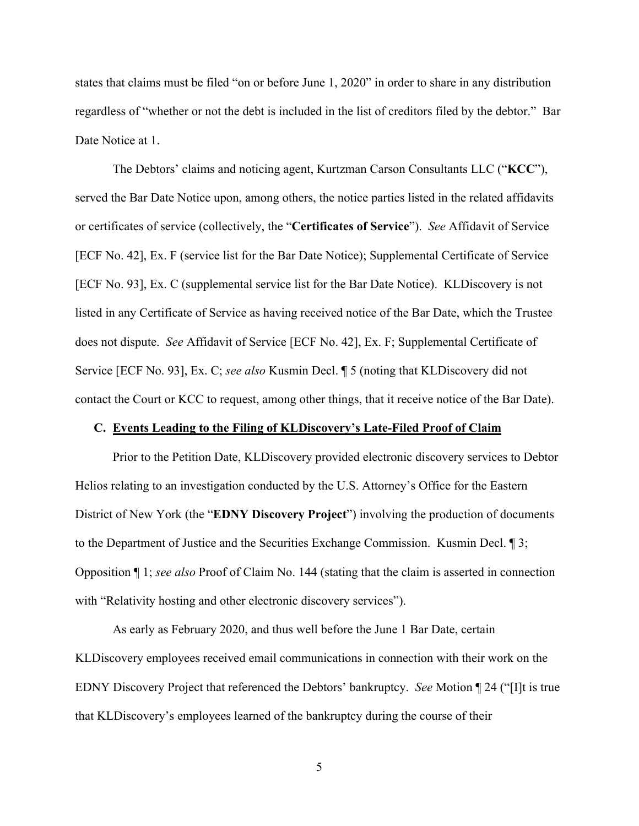states that claims must be filed "on or before June 1, 2020" in order to share in any distribution regardless of "whether or not the debt is included in the list of creditors filed by the debtor." Bar Date Notice at 1.

The Debtors' claims and noticing agent, Kurtzman Carson Consultants LLC ("**KCC**"), served the Bar Date Notice upon, among others, the notice parties listed in the related affidavits or certificates of service (collectively, the "**Certificates of Service**"). *See* Affidavit of Service [ECF No. 42], Ex. F (service list for the Bar Date Notice); Supplemental Certificate of Service [ECF No. 93], Ex. C (supplemental service list for the Bar Date Notice). KLDiscovery is not listed in any Certificate of Service as having received notice of the Bar Date, which the Trustee does not dispute. *See* Affidavit of Service [ECF No. 42], Ex. F; Supplemental Certificate of Service [ECF No. 93], Ex. C; *see also* Kusmin Decl. ¶ 5 (noting that KLDiscovery did not contact the Court or KCC to request, among other things, that it receive notice of the Bar Date).

#### **C. Events Leading to the Filing of KLDiscovery's Late-Filed Proof of Claim**

Prior to the Petition Date, KLDiscovery provided electronic discovery services to Debtor Helios relating to an investigation conducted by the U.S. Attorney's Office for the Eastern District of New York (the "**EDNY Discovery Project**") involving the production of documents to the Department of Justice and the Securities Exchange Commission. Kusmin Decl. ¶ 3; Opposition ¶ 1; *see also* Proof of Claim No. 144 (stating that the claim is asserted in connection with "Relativity hosting and other electronic discovery services").

As early as February 2020, and thus well before the June 1 Bar Date, certain KLDiscovery employees received email communications in connection with their work on the EDNY Discovery Project that referenced the Debtors' bankruptcy. *See* Motion ¶ 24 ("[I]t is true that KLDiscovery's employees learned of the bankruptcy during the course of their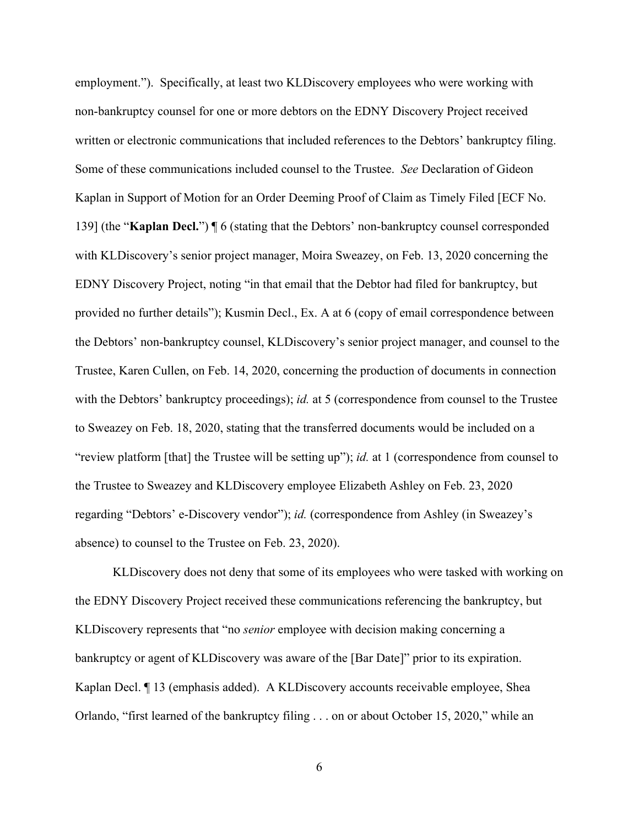employment."). Specifically, at least two KLDiscovery employees who were working with non-bankruptcy counsel for one or more debtors on the EDNY Discovery Project received written or electronic communications that included references to the Debtors' bankruptcy filing. Some of these communications included counsel to the Trustee. *See* Declaration of Gideon Kaplan in Support of Motion for an Order Deeming Proof of Claim as Timely Filed [ECF No. 139] (the "**Kaplan Decl.**") ¶ 6 (stating that the Debtors' non-bankruptcy counsel corresponded with KLDiscovery's senior project manager, Moira Sweazey, on Feb. 13, 2020 concerning the EDNY Discovery Project, noting "in that email that the Debtor had filed for bankruptcy, but provided no further details"); Kusmin Decl., Ex. A at 6 (copy of email correspondence between the Debtors' non-bankruptcy counsel, KLDiscovery's senior project manager, and counsel to the Trustee, Karen Cullen, on Feb. 14, 2020, concerning the production of documents in connection with the Debtors' bankruptcy proceedings); *id.* at 5 (correspondence from counsel to the Trustee to Sweazey on Feb. 18, 2020, stating that the transferred documents would be included on a "review platform [that] the Trustee will be setting up"); *id.* at 1 (correspondence from counsel to the Trustee to Sweazey and KLDiscovery employee Elizabeth Ashley on Feb. 23, 2020 regarding "Debtors' e-Discovery vendor"); *id.* (correspondence from Ashley (in Sweazey's absence) to counsel to the Trustee on Feb. 23, 2020).

KLDiscovery does not deny that some of its employees who were tasked with working on the EDNY Discovery Project received these communications referencing the bankruptcy, but KLDiscovery represents that "no *senior* employee with decision making concerning a bankruptcy or agent of KLDiscovery was aware of the [Bar Date]" prior to its expiration. Kaplan Decl. ¶ 13 (emphasis added). A KLDiscovery accounts receivable employee, Shea Orlando, "first learned of the bankruptcy filing . . . on or about October 15, 2020," while an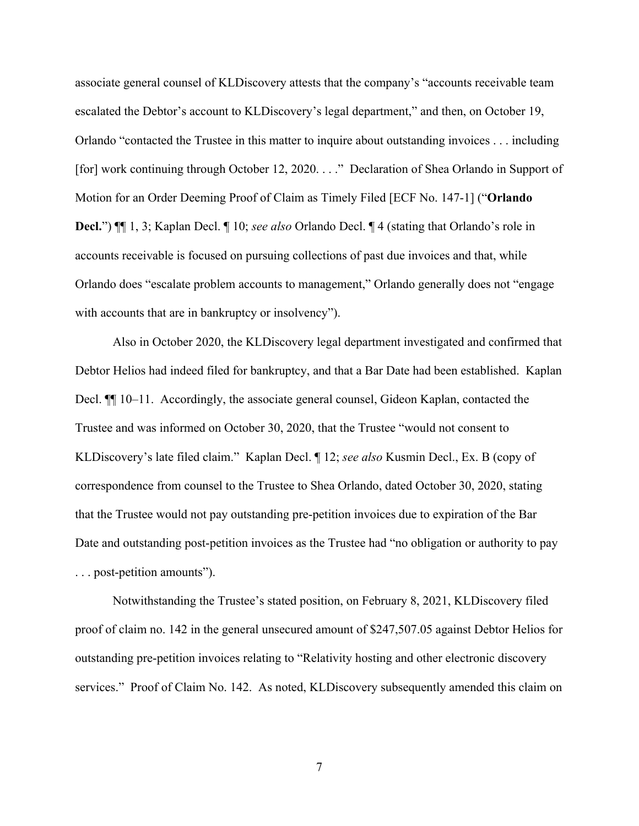associate general counsel of KLDiscovery attests that the company's "accounts receivable team escalated the Debtor's account to KLDiscovery's legal department," and then, on October 19, Orlando "contacted the Trustee in this matter to inquire about outstanding invoices . . . including [for] work continuing through October 12, 2020. . . ." Declaration of Shea Orlando in Support of Motion for an Order Deeming Proof of Claim as Timely Filed [ECF No. 147-1] ("**Orlando Decl.**") ¶¶ 1, 3; Kaplan Decl. ¶ 10; *see also* Orlando Decl. ¶ 4 (stating that Orlando's role in accounts receivable is focused on pursuing collections of past due invoices and that, while Orlando does "escalate problem accounts to management," Orlando generally does not "engage with accounts that are in bankruptcy or insolvency").

Also in October 2020, the KLDiscovery legal department investigated and confirmed that Debtor Helios had indeed filed for bankruptcy, and that a Bar Date had been established. Kaplan Decl. ¶¶ 10–11. Accordingly, the associate general counsel, Gideon Kaplan, contacted the Trustee and was informed on October 30, 2020, that the Trustee "would not consent to KLDiscovery's late filed claim." Kaplan Decl. ¶ 12; *see also* Kusmin Decl., Ex. B (copy of correspondence from counsel to the Trustee to Shea Orlando, dated October 30, 2020, stating that the Trustee would not pay outstanding pre-petition invoices due to expiration of the Bar Date and outstanding post-petition invoices as the Trustee had "no obligation or authority to pay . . . post-petition amounts").

Notwithstanding the Trustee's stated position, on February 8, 2021, KLDiscovery filed proof of claim no. 142 in the general unsecured amount of \$247,507.05 against Debtor Helios for outstanding pre-petition invoices relating to "Relativity hosting and other electronic discovery services." Proof of Claim No. 142. As noted, KLDiscovery subsequently amended this claim on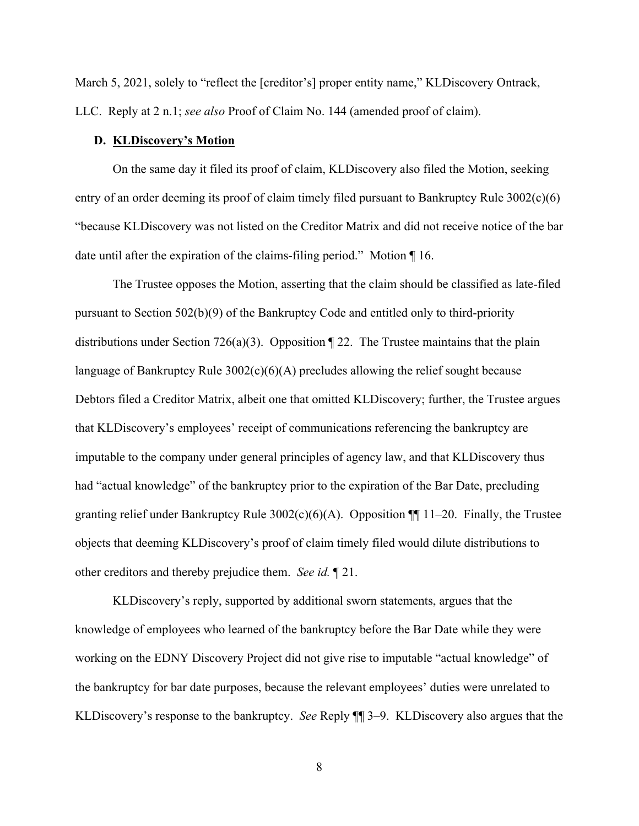March 5, 2021, solely to "reflect the [creditor's] proper entity name," KLDiscovery Ontrack, LLC. Reply at 2 n.1; *see also* Proof of Claim No. 144 (amended proof of claim).

### **D. KLDiscovery's Motion**

On the same day it filed its proof of claim, KLDiscovery also filed the Motion, seeking entry of an order deeming its proof of claim timely filed pursuant to Bankruptcy Rule 3002(c)(6) "because KLDiscovery was not listed on the Creditor Matrix and did not receive notice of the bar date until after the expiration of the claims-filing period." Motion ¶ 16.

The Trustee opposes the Motion, asserting that the claim should be classified as late-filed pursuant to Section 502(b)(9) of the Bankruptcy Code and entitled only to third-priority distributions under Section 726(a)(3). Opposition ¶ 22. The Trustee maintains that the plain language of Bankruptcy Rule 3002(c)(6)(A) precludes allowing the relief sought because Debtors filed a Creditor Matrix, albeit one that omitted KLDiscovery; further, the Trustee argues that KLDiscovery's employees' receipt of communications referencing the bankruptcy are imputable to the company under general principles of agency law, and that KLDiscovery thus had "actual knowledge" of the bankruptcy prior to the expiration of the Bar Date, precluding granting relief under Bankruptcy Rule  $3002(c)(6)(A)$ . Opposition ¶[11–20. Finally, the Trustee objects that deeming KLDiscovery's proof of claim timely filed would dilute distributions to other creditors and thereby prejudice them. *See id.* ¶ 21.

KLDiscovery's reply, supported by additional sworn statements, argues that the knowledge of employees who learned of the bankruptcy before the Bar Date while they were working on the EDNY Discovery Project did not give rise to imputable "actual knowledge" of the bankruptcy for bar date purposes, because the relevant employees' duties were unrelated to KLDiscovery's response to the bankruptcy. *See* Reply ¶¶ 3–9. KLDiscovery also argues that the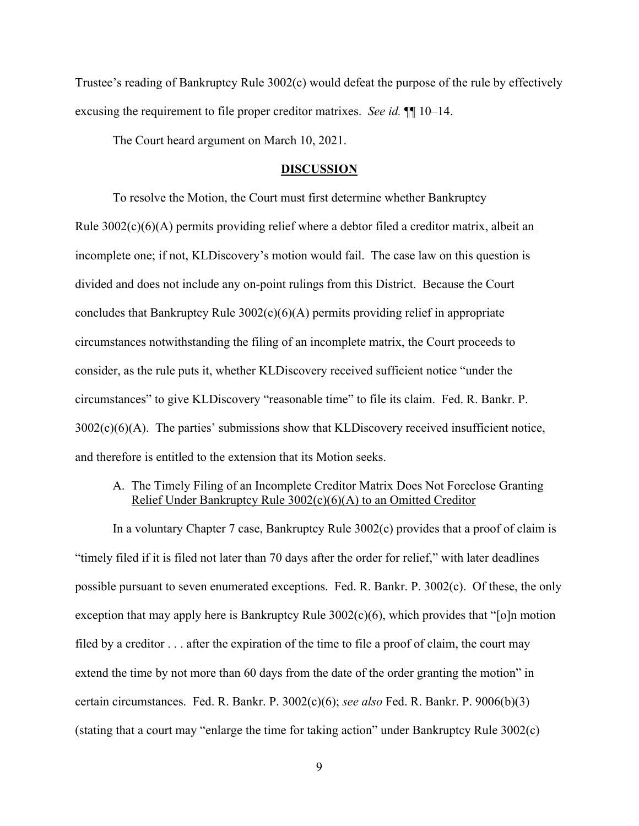Trustee's reading of Bankruptcy Rule 3002(c) would defeat the purpose of the rule by effectively excusing the requirement to file proper creditor matrixes. *See id.* ¶¶ 10–14.

The Court heard argument on March 10, 2021.

#### **DISCUSSION**

To resolve the Motion, the Court must first determine whether Bankruptcy Rule 3002(c)(6)(A) permits providing relief where a debtor filed a creditor matrix, albeit an incomplete one; if not, KLDiscovery's motion would fail. The case law on this question is divided and does not include any on-point rulings from this District. Because the Court concludes that Bankruptcy Rule 3002(c)(6)(A) permits providing relief in appropriate circumstances notwithstanding the filing of an incomplete matrix, the Court proceeds to consider, as the rule puts it, whether KLDiscovery received sufficient notice "under the circumstances" to give KLDiscovery "reasonable time" to file its claim. Fed. R. Bankr. P.  $3002(c)(6)(A)$ . The parties' submissions show that KLDiscovery received insufficient notice, and therefore is entitled to the extension that its Motion seeks.

### A. The Timely Filing of an Incomplete Creditor Matrix Does Not Foreclose Granting Relief Under Bankruptcy Rule 3002(c)(6)(A) to an Omitted Creditor

In a voluntary Chapter 7 case, Bankruptcy Rule 3002(c) provides that a proof of claim is "timely filed if it is filed not later than 70 days after the order for relief," with later deadlines possible pursuant to seven enumerated exceptions. Fed. R. Bankr. P. 3002(c). Of these, the only exception that may apply here is Bankruptcy Rule  $3002(c)(6)$ , which provides that "[o]n motion filed by a creditor  $\ldots$  after the expiration of the time to file a proof of claim, the court may extend the time by not more than 60 days from the date of the order granting the motion" in certain circumstances. Fed. R. Bankr. P. 3002(c)(6); *see also* Fed. R. Bankr. P. 9006(b)(3) (stating that a court may "enlarge the time for taking action" under Bankruptcy Rule 3002(c)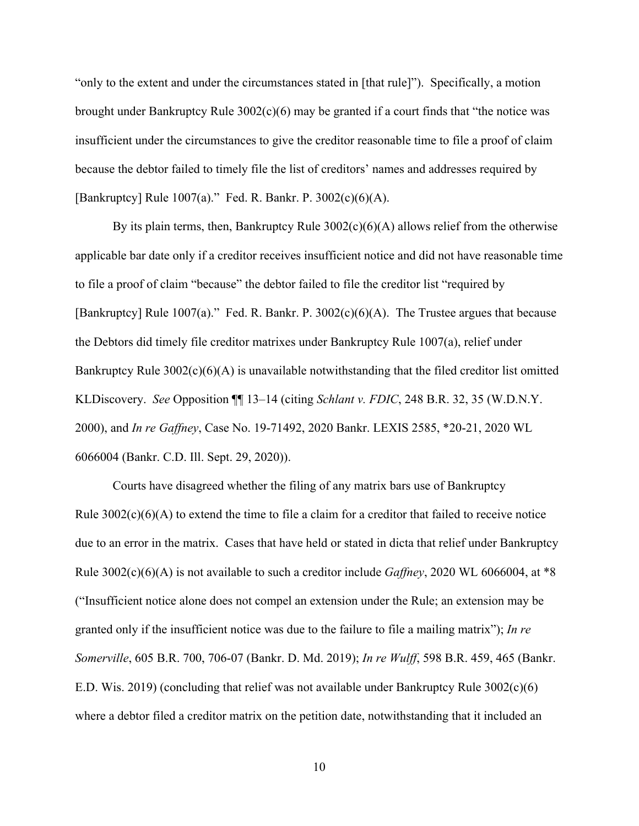"only to the extent and under the circumstances stated in [that rule]"). Specifically, a motion brought under Bankruptcy Rule 3002(c)(6) may be granted if a court finds that "the notice was insufficient under the circumstances to give the creditor reasonable time to file a proof of claim because the debtor failed to timely file the list of creditors' names and addresses required by [Bankruptcy] Rule 1007(a)." Fed. R. Bankr. P. 3002(c)(6)(A).

By its plain terms, then, Bankruptcy Rule  $3002(c)(6)(A)$  allows relief from the otherwise applicable bar date only if a creditor receives insufficient notice and did not have reasonable time to file a proof of claim "because" the debtor failed to file the creditor list "required by [Bankruptcy] Rule 1007(a)." Fed. R. Bankr. P. 3002(c)(6)(A). The Trustee argues that because the Debtors did timely file creditor matrixes under Bankruptcy Rule 1007(a), relief under Bankruptcy Rule 3002(c)(6)(A) is unavailable notwithstanding that the filed creditor list omitted KLDiscovery. *See* Opposition ¶¶ 13–14 (citing *Schlant v. FDIC*, 248 B.R. 32, 35 (W.D.N.Y. 2000), and *In re Gaffney*, Case No. 19-71492, 2020 Bankr. LEXIS 2585, \*20-21, 2020 WL 6066004 (Bankr. C.D. Ill. Sept. 29, 2020)).

Courts have disagreed whether the filing of any matrix bars use of Bankruptcy Rule  $3002(c)(6)(A)$  to extend the time to file a claim for a creditor that failed to receive notice due to an error in the matrix. Cases that have held or stated in dicta that relief under Bankruptcy Rule 3002(c)(6)(A) is not available to such a creditor include *Gaffney*, 2020 WL 6066004, at \*8 ("Insufficient notice alone does not compel an extension under the Rule; an extension may be granted only if the insufficient notice was due to the failure to file a mailing matrix"); *In re Somerville*, 605 B.R. 700, 706-07 (Bankr. D. Md. 2019); *In re Wulff*, 598 B.R. 459, 465 (Bankr. E.D. Wis. 2019) (concluding that relief was not available under Bankruptcy Rule  $3002(c)(6)$ where a debtor filed a creditor matrix on the petition date, notwithstanding that it included an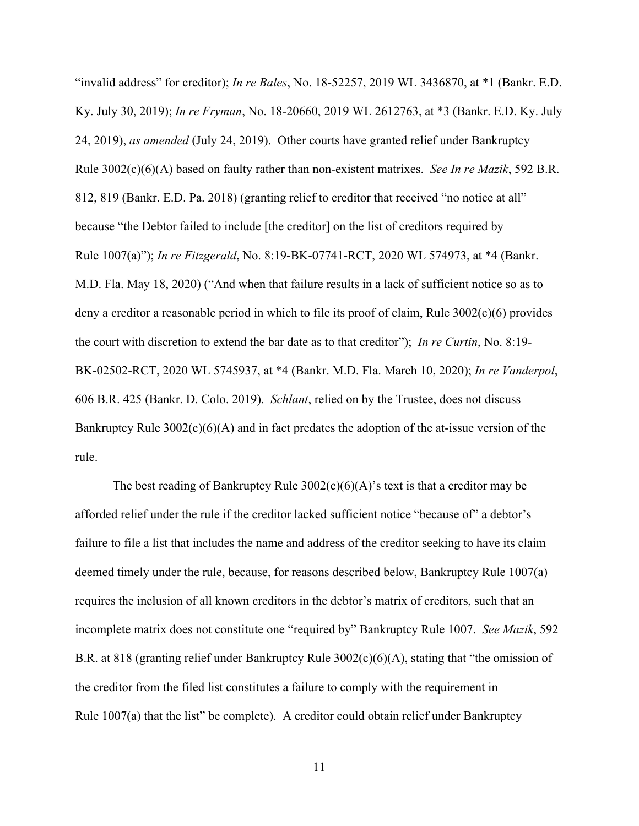"invalid address" for creditor); *In re Bales*, No. 18-52257, 2019 WL 3436870, at \*1 (Bankr. E.D. Ky. July 30, 2019); *In re Fryman*, No. 18-20660, 2019 WL 2612763, at \*3 (Bankr. E.D. Ky. July 24, 2019), *as amended* (July 24, 2019). Other courts have granted relief under Bankruptcy Rule 3002(c)(6)(A) based on faulty rather than non-existent matrixes. *See In re Mazik*, 592 B.R. 812, 819 (Bankr. E.D. Pa. 2018) (granting relief to creditor that received "no notice at all" because "the Debtor failed to include [the creditor] on the list of creditors required by Rule 1007(a)"); *In re Fitzgerald*, No. 8:19-BK-07741-RCT, 2020 WL 574973, at \*4 (Bankr. M.D. Fla. May 18, 2020) ("And when that failure results in a lack of sufficient notice so as to deny a creditor a reasonable period in which to file its proof of claim, Rule 3002(c)(6) provides the court with discretion to extend the bar date as to that creditor"); *In re Curtin*, No. 8:19- BK-02502-RCT, 2020 WL 5745937, at \*4 (Bankr. M.D. Fla. March 10, 2020); *In re Vanderpol*, 606 B.R. 425 (Bankr. D. Colo. 2019). *Schlant*, relied on by the Trustee, does not discuss Bankruptcy Rule  $3002(c)(6)(A)$  and in fact predates the adoption of the at-issue version of the rule.

The best reading of Bankruptcy Rule  $3002(c)(6)(A)$ 's text is that a creditor may be afforded relief under the rule if the creditor lacked sufficient notice "because of" a debtor's failure to file a list that includes the name and address of the creditor seeking to have its claim deemed timely under the rule, because, for reasons described below, Bankruptcy Rule 1007(a) requires the inclusion of all known creditors in the debtor's matrix of creditors, such that an incomplete matrix does not constitute one "required by" Bankruptcy Rule 1007. *See Mazik*, 592 B.R. at 818 (granting relief under Bankruptcy Rule 3002(c)(6)(A), stating that "the omission of the creditor from the filed list constitutes a failure to comply with the requirement in Rule  $1007(a)$  that the list" be complete). A creditor could obtain relief under Bankruptcy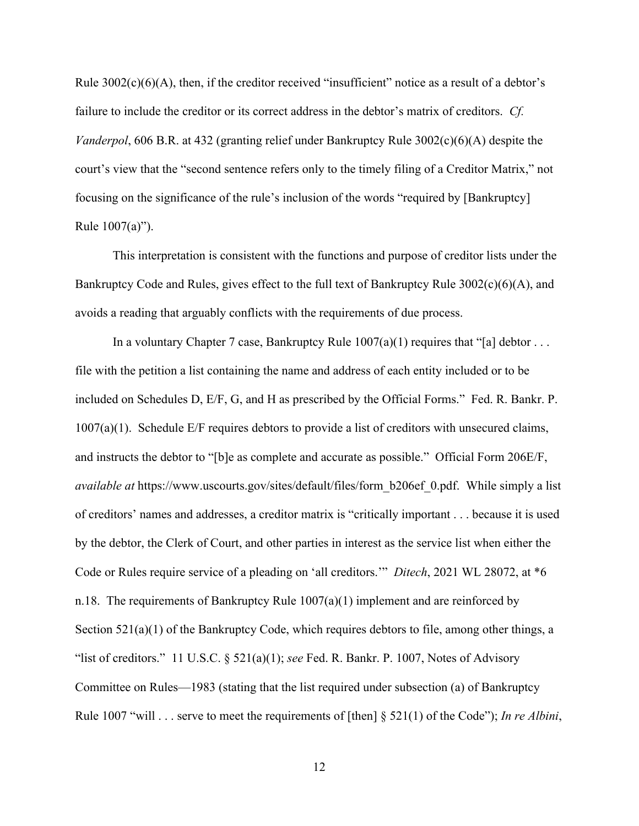Rule 3002(c)(6)(A), then, if the creditor received "insufficient" notice as a result of a debtor's failure to include the creditor or its correct address in the debtor's matrix of creditors. *Cf. Vanderpol*, 606 B.R. at 432 (granting relief under Bankruptcy Rule 3002(c)(6)(A) despite the court's view that the "second sentence refers only to the timely filing of a Creditor Matrix," not focusing on the significance of the rule's inclusion of the words "required by [Bankruptcy] Rule 1007(a)").

This interpretation is consistent with the functions and purpose of creditor lists under the Bankruptcy Code and Rules, gives effect to the full text of Bankruptcy Rule 3002(c)(6)(A), and avoids a reading that arguably conflicts with the requirements of due process.

In a voluntary Chapter 7 case, Bankruptcy Rule  $1007(a)(1)$  requires that "[a] debtor ... file with the petition a list containing the name and address of each entity included or to be included on Schedules D, E/F, G, and H as prescribed by the Official Forms." Fed. R. Bankr. P. 1007(a)(1). Schedule E/F requires debtors to provide a list of creditors with unsecured claims, and instructs the debtor to "[b]e as complete and accurate as possible." Official Form 206E/F, *available at* https://www.uscourts.gov/sites/default/files/form\_b206ef\_0.pdf. While simply a list of creditors' names and addresses, a creditor matrix is "critically important . . . because it is used by the debtor, the Clerk of Court, and other parties in interest as the service list when either the Code or Rules require service of a pleading on 'all creditors.'" *Ditech*, 2021 WL 28072, at \*6 n.18. The requirements of Bankruptcy Rule  $1007(a)(1)$  implement and are reinforced by Section 521(a)(1) of the Bankruptcy Code, which requires debtors to file, among other things, a "list of creditors." 11 U.S.C. § 521(a)(1); *see* Fed. R. Bankr. P. 1007, Notes of Advisory Committee on Rules—1983 (stating that the list required under subsection (a) of Bankruptcy Rule 1007 "will . . . serve to meet the requirements of [then] § 521(1) of the Code"); *In re Albini*,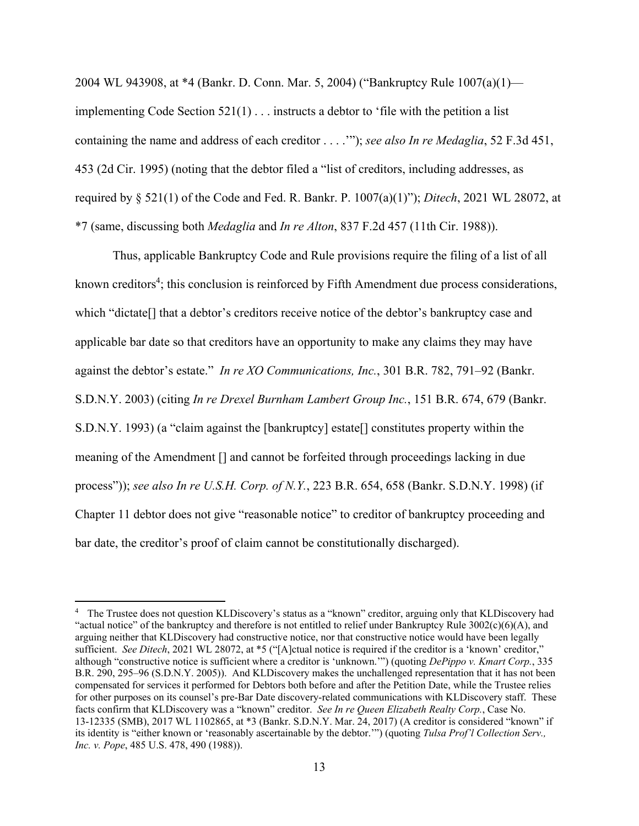2004 WL 943908, at \*4 (Bankr. D. Conn. Mar. 5, 2004) ("Bankruptcy Rule 1007(a)(1) implementing Code Section  $521(1)$ ... instructs a debtor to 'file with the petition a list containing the name and address of each creditor . . . .'"); *see also In re Medaglia*, 52 F.3d 451, 453 (2d Cir. 1995) (noting that the debtor filed a "list of creditors, including addresses, as required by § 521(1) of the Code and Fed. R. Bankr. P. 1007(a)(1)"); *Ditech*, 2021 WL 28072, at \*7 (same, discussing both *Medaglia* and *In re Alton*, 837 F.2d 457 (11th Cir. 1988)).

 Thus, applicable Bankruptcy Code and Rule provisions require the filing of a list of all known creditors<sup>4</sup>; this conclusion is reinforced by Fifth Amendment due process considerations, which "dictate[] that a debtor's creditors receive notice of the debtor's bankruptcy case and applicable bar date so that creditors have an opportunity to make any claims they may have against the debtor's estate." *In re XO Communications, Inc.*, 301 B.R. 782, 791–92 (Bankr. S.D.N.Y. 2003) (citing *In re Drexel Burnham Lambert Group Inc.*, 151 B.R. 674, 679 (Bankr. S.D.N.Y. 1993) (a "claim against the [bankruptcy] estate[] constitutes property within the meaning of the Amendment [] and cannot be forfeited through proceedings lacking in due process")); *see also In re U.S.H. Corp. of N.Y.*, 223 B.R. 654, 658 (Bankr. S.D.N.Y. 1998) (if Chapter 11 debtor does not give "reasonable notice" to creditor of bankruptcy proceeding and bar date, the creditor's proof of claim cannot be constitutionally discharged).

<sup>4</sup> The Trustee does not question KLDiscovery's status as a "known" creditor, arguing only that KLDiscovery had "actual notice" of the bankruptcy and therefore is not entitled to relief under Bankruptcy Rule 3002(c)(6)(A), and arguing neither that KLDiscovery had constructive notice, nor that constructive notice would have been legally sufficient. *See Ditech*, 2021 WL 28072, at \*5 ("[A]ctual notice is required if the creditor is a 'known' creditor," although "constructive notice is sufficient where a creditor is 'unknown.'") (quoting *DePippo v. Kmart Corp.*, 335 B.R. 290, 295–96 (S.D.N.Y. 2005)). And KLDiscovery makes the unchallenged representation that it has not been compensated for services it performed for Debtors both before and after the Petition Date, while the Trustee relies for other purposes on its counsel's pre-Bar Date discovery-related communications with KLDiscovery staff. These facts confirm that KLDiscovery was a "known" creditor. *See In re Queen Elizabeth Realty Corp.*, Case No. 13-12335 (SMB), 2017 WL 1102865, at \*3 (Bankr. S.D.N.Y. Mar. 24, 2017) (A creditor is considered "known" if its identity is "either known or 'reasonably ascertainable by the debtor.'") (quoting *Tulsa Prof'l Collection Serv., Inc. v. Pope*, 485 U.S. 478, 490 (1988)).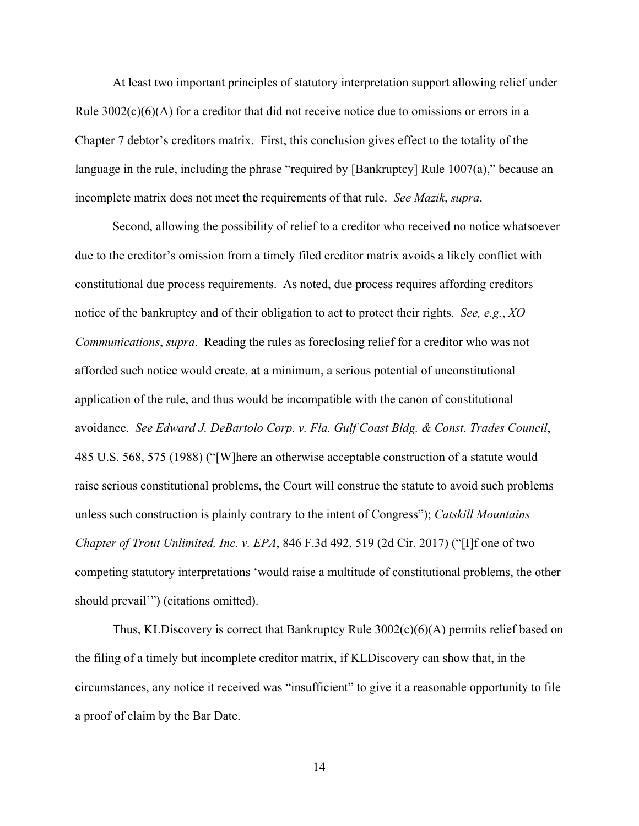At least two important principles of statutory interpretation support allowing relief under Rule  $3002(c)(6)(A)$  for a creditor that did not receive notice due to omissions or errors in a Chapter 7 debtor's creditors matrix. First, this conclusion gives effect to the totality of the language in the rule, including the phrase "required by [Bankruptcy] Rule 1007(a)," because an incomplete matrix does not meet the requirements of that rule. *See Mazik*, *supra*.

Second, allowing the possibility of relief to a creditor who received no notice whatsoever due to the creditor's omission from a timely filed creditor matrix avoids a likely conflict with constitutional due process requirements. As noted, due process requires affording creditors notice of the bankruptcy and of their obligation to act to protect their rights. *See, e.g.*, *XO Communications*, *supra*. Reading the rules as foreclosing relief for a creditor who was not afforded such notice would create, at a minimum, a serious potential of unconstitutional application of the rule, and thus would be incompatible with the canon of constitutional avoidance. *See Edward J. DeBartolo Corp. v. Fla. Gulf Coast Bldg. & Const. Trades Council*, 485 U.S. 568, 575 (1988) ("[W]here an otherwise acceptable construction of a statute would raise serious constitutional problems, the Court will construe the statute to avoid such problems unless such construction is plainly contrary to the intent of Congress"); *Catskill Mountains Chapter of Trout Unlimited, Inc. v. EPA*, 846 F.3d 492, 519 (2d Cir. 2017) ("[I]f one of two competing statutory interpretations 'would raise a multitude of constitutional problems, the other should prevail'") (citations omitted).

Thus, KLDiscovery is correct that Bankruptcy Rule 3002(c)(6)(A) permits relief based on the filing of a timely but incomplete creditor matrix, if KLDiscovery can show that, in the circumstances, any notice it received was "insufficient" to give it a reasonable opportunity to file a proof of claim by the Bar Date.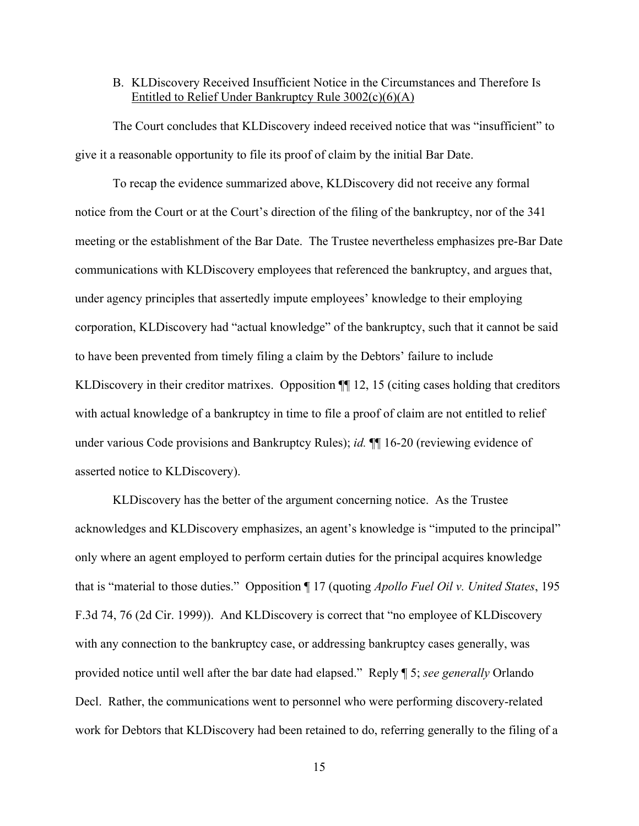### B. KLDiscovery Received Insufficient Notice in the Circumstances and Therefore Is Entitled to Relief Under Bankruptcy Rule 3002(c)(6)(A)

The Court concludes that KLDiscovery indeed received notice that was "insufficient" to give it a reasonable opportunity to file its proof of claim by the initial Bar Date.

To recap the evidence summarized above, KLDiscovery did not receive any formal notice from the Court or at the Court's direction of the filing of the bankruptcy, nor of the 341 meeting or the establishment of the Bar Date. The Trustee nevertheless emphasizes pre-Bar Date communications with KLDiscovery employees that referenced the bankruptcy, and argues that, under agency principles that assertedly impute employees' knowledge to their employing corporation, KLDiscovery had "actual knowledge" of the bankruptcy, such that it cannot be said to have been prevented from timely filing a claim by the Debtors' failure to include KLDiscovery in their creditor matrixes. Opposition  $\P$  12, 15 (citing cases holding that creditors with actual knowledge of a bankruptcy in time to file a proof of claim are not entitled to relief under various Code provisions and Bankruptcy Rules); *id.* ¶¶ 16-20 (reviewing evidence of asserted notice to KLDiscovery).

KLDiscovery has the better of the argument concerning notice. As the Trustee acknowledges and KLDiscovery emphasizes, an agent's knowledge is "imputed to the principal" only where an agent employed to perform certain duties for the principal acquires knowledge that is "material to those duties." Opposition ¶ 17 (quoting *Apollo Fuel Oil v. United States*, 195 F.3d 74, 76 (2d Cir. 1999)). And KLDiscovery is correct that "no employee of KLDiscovery with any connection to the bankruptcy case, or addressing bankruptcy cases generally, was provided notice until well after the bar date had elapsed." Reply ¶ 5; *see generally* Orlando Decl. Rather, the communications went to personnel who were performing discovery-related work for Debtors that KLDiscovery had been retained to do, referring generally to the filing of a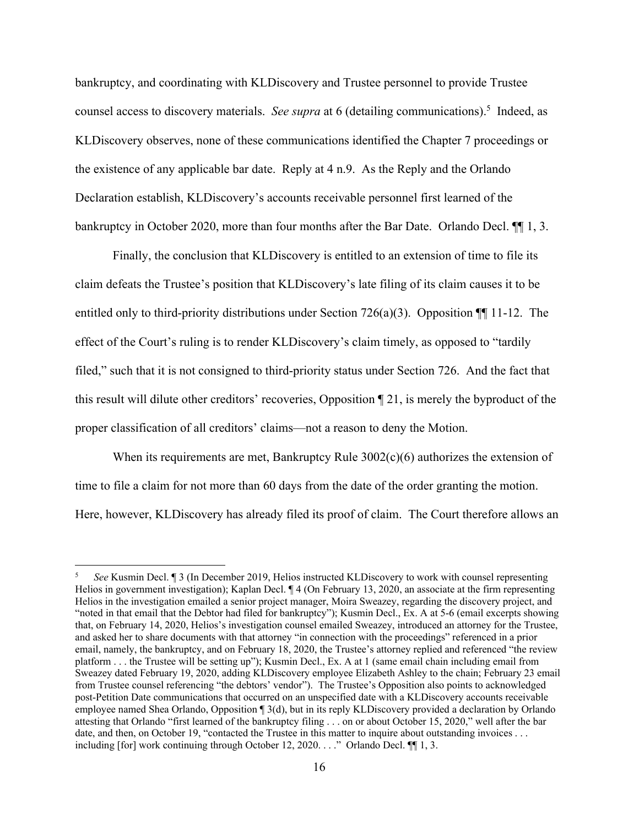bankruptcy, and coordinating with KLDiscovery and Trustee personnel to provide Trustee counsel access to discovery materials. *See supra* at 6 (detailing communications).<sup>5</sup> Indeed, as KLDiscovery observes, none of these communications identified the Chapter 7 proceedings or the existence of any applicable bar date. Reply at 4 n.9. As the Reply and the Orlando Declaration establish, KLDiscovery's accounts receivable personnel first learned of the bankruptcy in October 2020, more than four months after the Bar Date. Orlando Decl.  $\P$  1, 3.

Finally, the conclusion that KLDiscovery is entitled to an extension of time to file its claim defeats the Trustee's position that KLDiscovery's late filing of its claim causes it to be entitled only to third-priority distributions under Section 726(a)(3). Opposition ¶¶ 11-12. The effect of the Court's ruling is to render KLDiscovery's claim timely, as opposed to "tardily filed," such that it is not consigned to third-priority status under Section 726. And the fact that this result will dilute other creditors' recoveries, Opposition ¶ 21, is merely the byproduct of the proper classification of all creditors' claims—not a reason to deny the Motion.

When its requirements are met, Bankruptcy Rule  $3002(c)(6)$  authorizes the extension of time to file a claim for not more than 60 days from the date of the order granting the motion. Here, however, KLDiscovery has already filed its proof of claim. The Court therefore allows an

<sup>5</sup> *See* Kusmin Decl. ¶ 3 (In December 2019, Helios instructed KLDiscovery to work with counsel representing Helios in government investigation); Kaplan Decl. ¶ 4 (On February 13, 2020, an associate at the firm representing Helios in the investigation emailed a senior project manager, Moira Sweazey, regarding the discovery project, and "noted in that email that the Debtor had filed for bankruptcy"); Kusmin Decl., Ex. A at 5-6 (email excerpts showing that, on February 14, 2020, Helios's investigation counsel emailed Sweazey, introduced an attorney for the Trustee, and asked her to share documents with that attorney "in connection with the proceedings" referenced in a prior email, namely, the bankruptcy, and on February 18, 2020, the Trustee's attorney replied and referenced "the review platform . . . the Trustee will be setting up"); Kusmin Decl., Ex. A at 1 (same email chain including email from Sweazey dated February 19, 2020, adding KLDiscovery employee Elizabeth Ashley to the chain; February 23 email from Trustee counsel referencing "the debtors' vendor"). The Trustee's Opposition also points to acknowledged post-Petition Date communications that occurred on an unspecified date with a KLDiscovery accounts receivable employee named Shea Orlando, Opposition ¶ 3(d), but in its reply KLDiscovery provided a declaration by Orlando attesting that Orlando "first learned of the bankruptcy filing . . . on or about October 15, 2020," well after the bar date, and then, on October 19, "contacted the Trustee in this matter to inquire about outstanding invoices . . . including [for] work continuing through October 12, 2020. . . ." Orlando Decl. ¶¶ 1, 3.